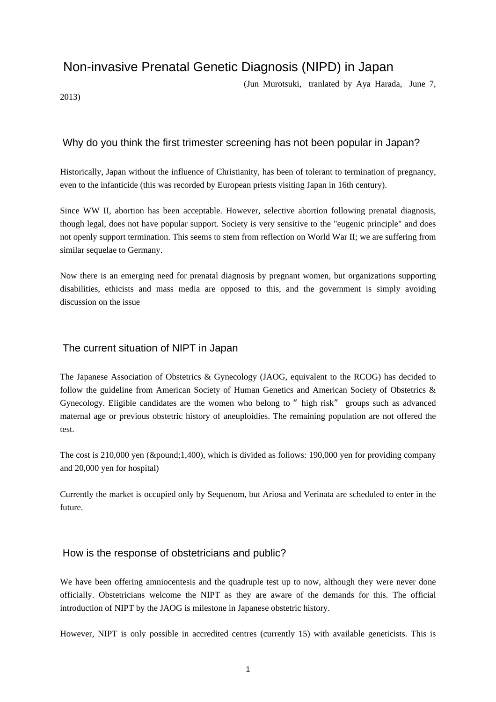# Non-invasive Prenatal Genetic Diagnosis (NIPD) in Japan

(Jun Murotsuki, tranlated by Aya Harada, June 7,

2013)

# Why do you think the first trimester screening has not been popular in Japan?

Historically, Japan without the influence of Christianity, has been of tolerant to termination of pregnancy, even to the infanticide (this was recorded by European priests visiting Japan in 16th century).

Since WW II, abortion has been acceptable. However, selective abortion following prenatal diagnosis, though legal, does not have popular support. Society is very sensitive to the "eugenic principle" and does not openly support termination. This seems to stem from reflection on World War II; we are suffering from similar sequelae to Germany.

Now there is an emerging need for prenatal diagnosis by pregnant women, but organizations supporting disabilities, ethicists and mass media are opposed to this, and the government is simply avoiding discussion on the issue

### The current situation of NIPT in Japan

The Japanese Association of Obstetrics & Gynecology (JAOG, equivalent to the RCOG) has decided to follow the guideline from American Society of Human Genetics and American Society of Obstetrics & Gynecology. Eligible candidates are the women who belong to "high risk" groups such as advanced maternal age or previous obstetric history of aneuploidies. The remaining population are not offered the test.

The cost is  $210,000$  yen ( $\&$ pound;1,400), which is divided as follows: 190,000 yen for providing company and 20,000 yen for hospital)

Currently the market is occupied only by Sequenom, but Ariosa and Verinata are scheduled to enter in the future.

#### How is the response of obstetricians and public?

We have been offering amniocentesis and the quadruple test up to now, although they were never done officially. Obstetricians welcome the NIPT as they are aware of the demands for this. The official introduction of NIPT by the JAOG is milestone in Japanese obstetric history.

However, NIPT is only possible in accredited centres (currently 15) with available geneticists. This is